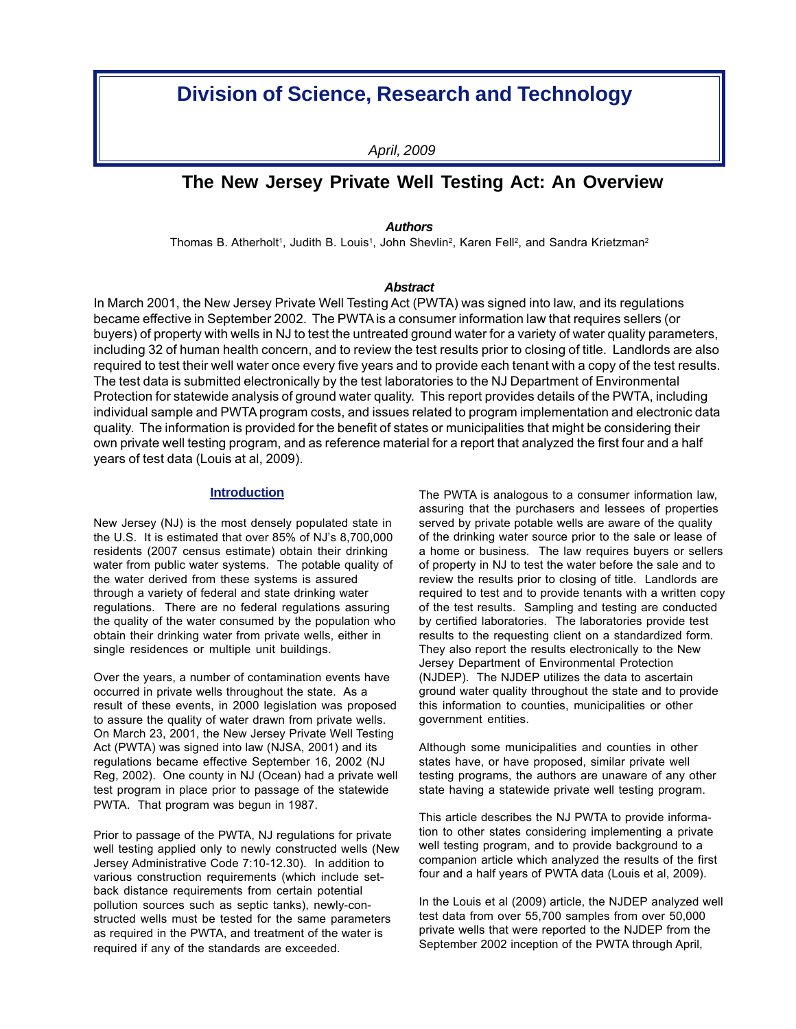# **Division of Science, Research and Technology**

*April, 2009*

# **The New Jersey Private Well Testing Act: An Overview**

*Authors*

Thomas B. Atherholt<sup>1</sup>, Judith B. Louis<sup>1</sup>, John Shevlin<sup>2</sup>, Karen Fell<sup>2</sup>, and Sandra Krietzman<sup>2</sup>

### *Abstract*

In March 2001, the New Jersey Private Well Testing Act (PWTA) was signed into law, and its regulations became effective in September 2002. The PWTA is a consumer information law that requires sellers (or buyers) of property with wells in NJ to test the untreated ground water for a variety of water quality parameters, including 32 of human health concern, and to review the test results prior to closing of title. Landlords are also required to test their well water once every five years and to provide each tenant with a copy of the test results. The test data is submitted electronically by the test laboratories to the NJ Department of Environmental Protection for statewide analysis of ground water quality. This report provides details of the PWTA, including individual sample and PWTA program costs, and issues related to program implementation and electronic data quality. The information is provided for the benefit of states or municipalities that might be considering their own private well testing program, and as reference material for a report that analyzed the first four and a half years of test data (Louis at al, 2009).

# **Introduction**

New Jersey (NJ) is the most densely populated state in the U.S. It is estimated that over 85% of NJ's 8,700,000 residents (2007 census estimate) obtain their drinking water from public water systems. The potable quality of the water derived from these systems is assured through a variety of federal and state drinking water regulations. There are no federal regulations assuring the quality of the water consumed by the population who obtain their drinking water from private wells, either in single residences or multiple unit buildings.

Over the years, a number of contamination events have occurred in private wells throughout the state. As a result of these events, in 2000 legislation was proposed to assure the quality of water drawn from private wells. On March 23, 2001, the New Jersey Private Well Testing Act (PWTA) was signed into law (NJSA, 2001) and its regulations became effective September 16, 2002 (NJ Reg, 2002). One county in NJ (Ocean) had a private well test program in place prior to passage of the statewide PWTA. That program was begun in 1987.

Prior to passage of the PWTA, NJ regulations for private well testing applied only to newly constructed wells (New Jersey Administrative Code 7:10-12.30). In addition to various construction requirements (which include setback distance requirements from certain potential pollution sources such as septic tanks), newly-constructed wells must be tested for the same parameters as required in the PWTA, and treatment of the water is required if any of the standards are exceeded.

The PWTA is analogous to a consumer information law, assuring that the purchasers and lessees of properties served by private potable wells are aware of the quality of the drinking water source prior to the sale or lease of a home or business. The law requires buyers or sellers of property in NJ to test the water before the sale and to review the results prior to closing of title. Landlords are required to test and to provide tenants with a written copy of the test results. Sampling and testing are conducted by certified laboratories. The laboratories provide test results to the requesting client on a standardized form. They also report the results electronically to the New Jersey Department of Environmental Protection (NJDEP). The NJDEP utilizes the data to ascertain ground water quality throughout the state and to provide this information to counties, municipalities or other government entities.

Although some municipalities and counties in other states have, or have proposed, similar private well testing programs, the authors are unaware of any other state having a statewide private well testing program.

This article describes the NJ PWTA to provide information to other states considering implementing a private well testing program, and to provide background to a companion article which analyzed the results of the first four and a half years of PWTA data (Louis et al, 2009).

In the Louis et al (2009) article, the NJDEP analyzed well test data from over 55,700 samples from over 50,000 private wells that were reported to the NJDEP from the September 2002 inception of the PWTA through April,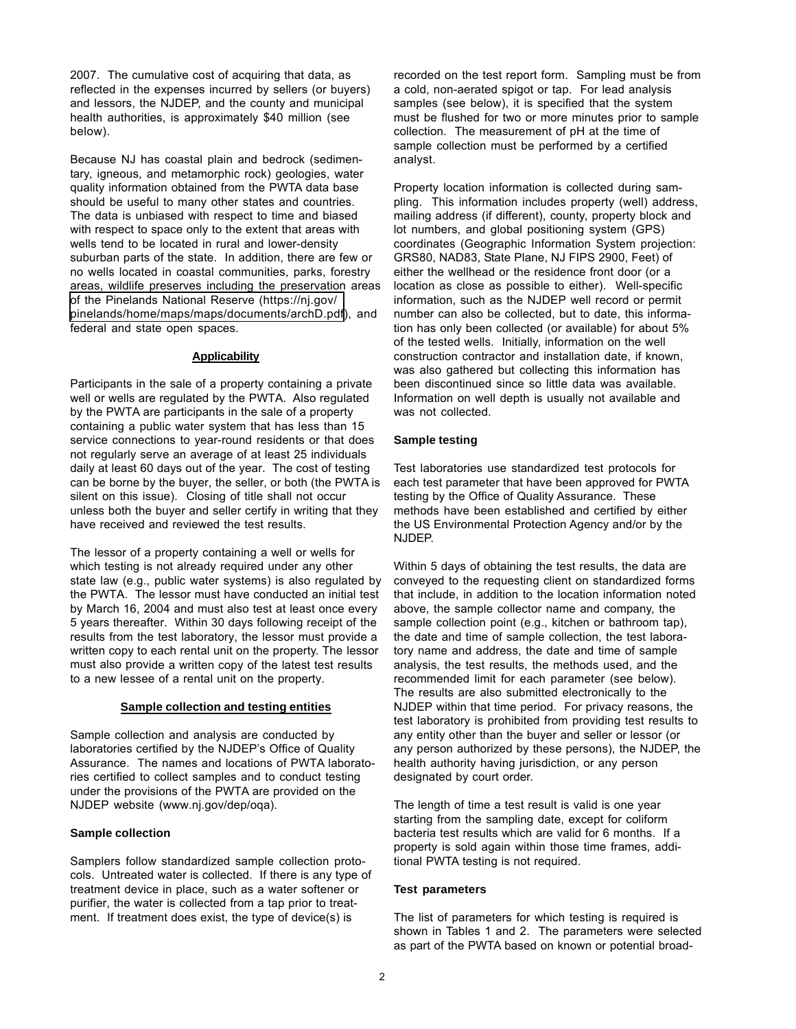2007. The cumulative cost of acquiring that data, as reflected in the expenses incurred by sellers (or buyers) and lessors, the NJDEP, and the county and municipal health authorities, is approximately \$40 million (see below).

Because NJ has coastal plain and bedrock (sedimentary, igneous, and metamorphic rock) geologies, water quality information obtained from the PWTA data base should be useful to many other states and countries. The data is unbiased with respect to time and biased with respect to space only to the extent that areas with wells tend to be located in rural and lower-density suburban parts of the state. In addition, there are few or no wells located in coastal communities, parks, forestry areas, wildlife preserves including the preservation areas of the Pinelands National Reserve (https://nj.gov/ [pinelands/home/maps/maps/documents/archD.pdf](https://nj.gov/pinelands/home/maps/maps/documents/archD.pdf)), and federal and state open spaces.

#### **Applicability**

Participants in the sale of a property containing a private well or wells are regulated by the PWTA. Also regulated by the PWTA are participants in the sale of a property containing a public water system that has less than 15 service connections to year-round residents or that does not regularly serve an average of at least 25 individuals daily at least 60 days out of the year. The cost of testing can be borne by the buyer, the seller, or both (the PWTA is silent on this issue). Closing of title shall not occur unless both the buyer and seller certify in writing that they have received and reviewed the test results.

The lessor of a property containing a well or wells for which testing is not already required under any other state law (e.g., public water systems) is also regulated by the PWTA. The lessor must have conducted an initial test by March 16, 2004 and must also test at least once every 5 years thereafter. Within 30 days following receipt of the results from the test laboratory, the lessor must provide a written copy to each rental unit on the property. The lessor must also provide a written copy of the latest test results to a new lessee of a rental unit on the property.

### **Sample collection and testing entities**

Sample collection and analysis are conducted by laboratories certified by the NJDEP's Office of Quality Assurance. The names and locations of PWTA laboratories certified to collect samples and to conduct testing under the provisions of the PWTA are provided on the NJDEP website (www.nj.gov/dep/oqa).

#### **Sample collection**

Samplers follow standardized sample collection protocols. Untreated water is collected. If there is any type of treatment device in place, such as a water softener or purifier, the water is collected from a tap prior to treatment. If treatment does exist, the type of device(s) is

recorded on the test report form. Sampling must be from a cold, non-aerated spigot or tap. For lead analysis samples (see below), it is specified that the system must be flushed for two or more minutes prior to sample collection. The measurement of pH at the time of sample collection must be performed by a certified analyst.

Property location information is collected during sampling. This information includes property (well) address, mailing address (if different), county, property block and lot numbers, and global positioning system (GPS) coordinates (Geographic Information System projection: GRS80, NAD83, State Plane, NJ FIPS 2900, Feet) of either the wellhead or the residence front door (or a location as close as possible to either). Well-specific information, such as the NJDEP well record or permit number can also be collected, but to date, this information has only been collected (or available) for about 5% of the tested wells. Initially, information on the well construction contractor and installation date, if known, was also gathered but collecting this information has been discontinued since so little data was available. Information on well depth is usually not available and was not collected.

#### **Sample testing**

Test laboratories use standardized test protocols for each test parameter that have been approved for PWTA testing by the Office of Quality Assurance. These methods have been established and certified by either the US Environmental Protection Agency and/or by the NJDEP.

Within 5 days of obtaining the test results, the data are conveyed to the requesting client on standardized forms that include, in addition to the location information noted above, the sample collector name and company, the sample collection point (e.g., kitchen or bathroom tap), the date and time of sample collection, the test laboratory name and address, the date and time of sample analysis, the test results, the methods used, and the recommended limit for each parameter (see below). The results are also submitted electronically to the NJDEP within that time period. For privacy reasons, the test laboratory is prohibited from providing test results to any entity other than the buyer and seller or lessor (or any person authorized by these persons), the NJDEP, the health authority having jurisdiction, or any person designated by court order.

The length of time a test result is valid is one year starting from the sampling date, except for coliform bacteria test results which are valid for 6 months. If a property is sold again within those time frames, additional PWTA testing is not required.

#### **Test parameters**

The list of parameters for which testing is required is shown in Tables 1 and 2. The parameters were selected as part of the PWTA based on known or potential broad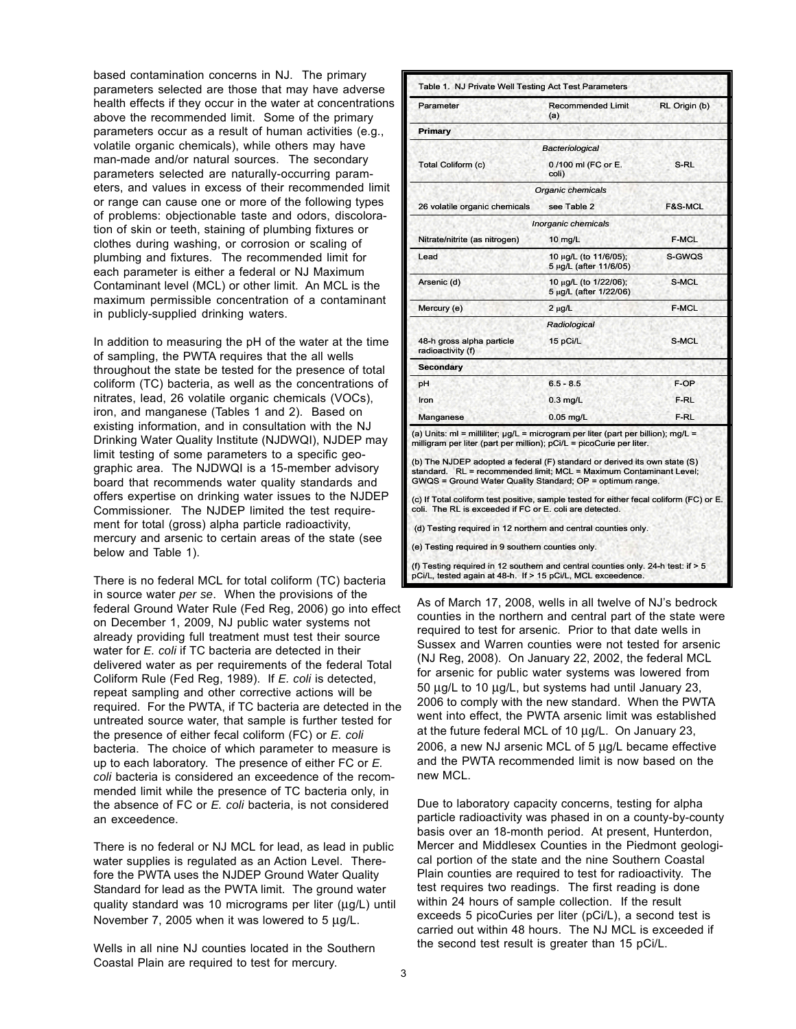based contamination concerns in NJ. The primary parameters selected are those that may have adverse health effects if they occur in the water at concentrations above the recommended limit. Some of the primary parameters occur as a result of human activities (e.g., volatile organic chemicals), while others may have man-made and/or natural sources. The secondary parameters selected are naturally-occurring parameters, and values in excess of their recommended limit or range can cause one or more of the following types of problems: objectionable taste and odors, discoloration of skin or teeth, staining of plumbing fixtures or clothes during washing, or corrosion or scaling of plumbing and fixtures. The recommended limit for each parameter is either a federal or NJ Maximum Contaminant level (MCL) or other limit. An MCL is the maximum permissible concentration of a contaminant in publicly-supplied drinking waters.

In addition to measuring the pH of the water at the time of sampling, the PWTA requires that the all wells throughout the state be tested for the presence of total coliform (TC) bacteria, as well as the concentrations of nitrates, lead, 26 volatile organic chemicals (VOCs), iron, and manganese (Tables 1 and 2). Based on existing information, and in consultation with the NJ Drinking Water Quality Institute (NJDWQI), NJDEP may limit testing of some parameters to a specific geographic area. The NJDWQI is a 15-member advisory board that recommends water quality standards and offers expertise on drinking water issues to the NJDEP Commissioner. The NJDEP limited the test requirement for total (gross) alpha particle radioactivity, mercury and arsenic to certain areas of the state (see below and Table 1).

There is no federal MCL for total coliform (TC) bacteria in source water *per se*. When the provisions of the federal Ground Water Rule (Fed Reg, 2006) go into effect on December 1, 2009, NJ public water systems not already providing full treatment must test their source water for *E. coli* if TC bacteria are detected in their delivered water as per requirements of the federal Total Coliform Rule (Fed Reg, 1989). If *E. coli* is detected, repeat sampling and other corrective actions will be required. For the PWTA, if TC bacteria are detected in the untreated source water, that sample is further tested for the presence of either fecal coliform (FC) or *E. coli* bacteria. The choice of which parameter to measure is up to each laboratory. The presence of either FC or *E. coli* bacteria is considered an exceedence of the recommended limit while the presence of TC bacteria only, in the absence of FC or *E. coli* bacteria, is not considered an exceedence.

There is no federal or NJ MCL for lead, as lead in public water supplies is regulated as an Action Level. Therefore the PWTA uses the NJDEP Ground Water Quality Standard for lead as the PWTA limit. The ground water quality standard was 10 micrograms per liter (μg/L) until November 7, 2005 when it was lowered to 5 μg/L.

Wells in all nine NJ counties located in the Southern Coastal Plain are required to test for mercury.

| Parameter                                      | <b>Recommended Limit</b><br>(a)                 | RL Origin (b)      |
|------------------------------------------------|-------------------------------------------------|--------------------|
| Primary                                        |                                                 |                    |
|                                                | Bacteriological                                 |                    |
| Total Coliform (c)                             | 0/100 ml (FC or E.<br>coli)                     | S-RL               |
|                                                | Organic chemicals                               |                    |
| 26 volatile organic chemicals                  | see Table 2                                     | <b>F&amp;S-MCL</b> |
|                                                | Inorganic chemicals                             |                    |
| Nitrate/nitrite (as nitrogen)                  | $10 \text{ mg/L}$                               | <b>F-MCL</b>       |
| Lead                                           | 10 μg/L (to 11/6/05);<br>5 μg/L (after 11/6/05) | S-GWQS             |
| Arsenic (d)                                    | 10 μg/L (to 1/22/06);<br>5 µg/L (after 1/22/06) | S-MCL              |
| Mercury (e)                                    | $2 \mu g/L$                                     | <b>F-MCL</b>       |
|                                                | Radiological                                    |                    |
| 48-h gross alpha particle<br>radioactivity (f) | 15 pCi/L                                        | S-MCL              |
| <b>Secondary</b>                               |                                                 |                    |
| рH                                             | $6.5 - 8.5$                                     | F-OP               |
| Iron                                           | $0.3$ mg/L                                      | F-RL               |
| Manganese                                      | $0.05$ mg/L                                     | F-RL               |

(d) Testing required in 12 northern and central counties only.

(e) Testing required in 9 southern counties only.

(f) Testing required in 12 southern and central counties only. 24-h test: if > 5 pCi/L, tested again at 48-h. If > 15 pCi/L, MCL exceedence.

As of March 17, 2008, wells in all twelve of NJ's bedrock counties in the northern and central part of the state were required to test for arsenic. Prior to that date wells in Sussex and Warren counties were not tested for arsenic (NJ Reg, 2008). On January 22, 2002, the federal MCL for arsenic for public water systems was lowered from 50 μg/L to 10 μg/L, but systems had until January 23, 2006 to comply with the new standard. When the PWTA went into effect, the PWTA arsenic limit was established at the future federal MCL of 10 μg/L. On January 23, 2006, a new NJ arsenic MCL of 5 μg/L became effective and the PWTA recommended limit is now based on the new MCL.

Due to laboratory capacity concerns, testing for alpha particle radioactivity was phased in on a county-by-county basis over an 18-month period. At present, Hunterdon, Mercer and Middlesex Counties in the Piedmont geological portion of the state and the nine Southern Coastal Plain counties are required to test for radioactivity. The test requires two readings. The first reading is done within 24 hours of sample collection. If the result exceeds 5 picoCuries per liter (pCi/L), a second test is carried out within 48 hours. The NJ MCL is exceeded if the second test result is greater than 15 pCi/L.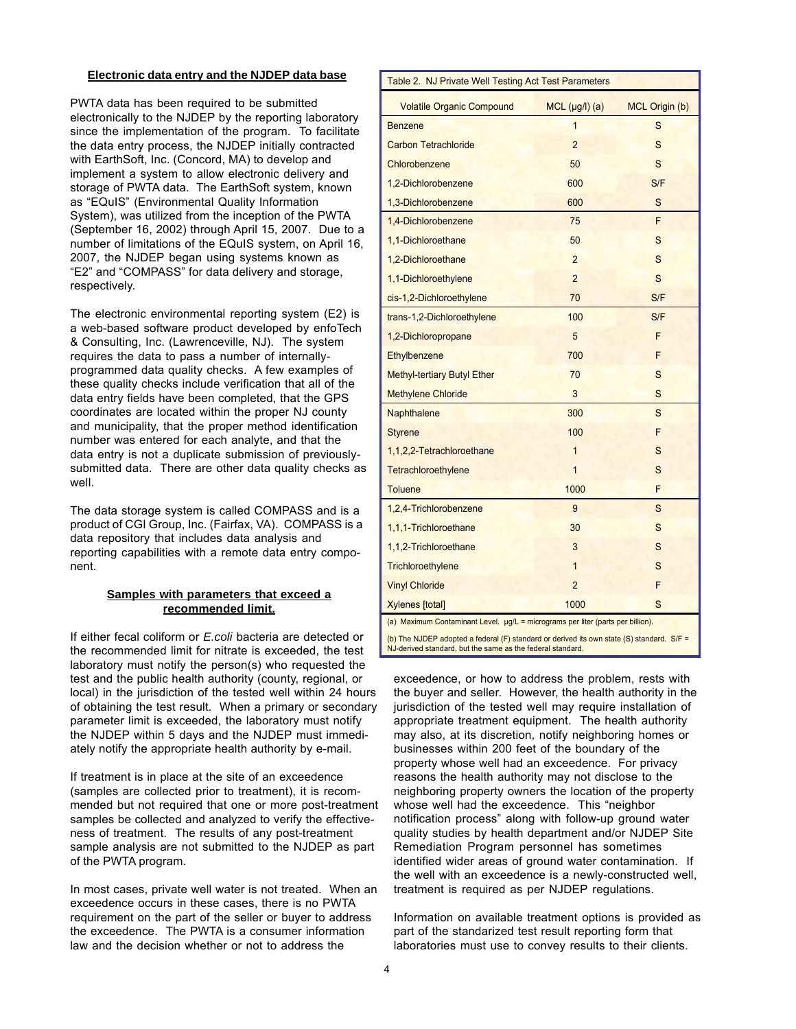### **Electronic data entry and the NJDEP data base**

PWTA data has been required to be submitted electronically to the NJDEP by the reporting laboratory since the implementation of the program. To facilitate the data entry process, the NJDEP initially contracted with EarthSoft, Inc. (Concord, MA) to develop and implement a system to allow electronic delivery and storage of PWTA data. The EarthSoft system, known as "EQuIS" (Environmental Quality Information System), was utilized from the inception of the PWTA (September 16, 2002) through April 15, 2007. Due to a number of limitations of the EQuIS system, on April 16, 2007, the NJDEP began using systems known as "E2" and "COMPASS" for data delivery and storage, respectively.

The electronic environmental reporting system (E2) is a web-based software product developed by enfoTech & Consulting, Inc. (Lawrenceville, NJ). The system requires the data to pass a number of internallyprogrammed data quality checks. A few examples of these quality checks include verification that all of the data entry fields have been completed, that the GPS coordinates are located within the proper NJ county and municipality, that the proper method identification number was entered for each analyte, and that the data entry is not a duplicate submission of previouslysubmitted data. There are other data quality checks as well.

The data storage system is called COMPASS and is a product of CGI Group, Inc. (Fairfax, VA). COMPASS is a data repository that includes data analysis and reporting capabilities with a remote data entry component.

# **Samples with parameters that exceed a recommended limit.**

If either fecal coliform or *E.coli* bacteria are detected or the recommended limit for nitrate is exceeded, the test laboratory must notify the person(s) who requested the test and the public health authority (county, regional, or local) in the jurisdiction of the tested well within 24 hours of obtaining the test result. When a primary or secondary parameter limit is exceeded, the laboratory must notify the NJDEP within 5 days and the NJDEP must immediately notify the appropriate health authority by e-mail.

If treatment is in place at the site of an exceedence (samples are collected prior to treatment), it is recommended but not required that one or more post-treatment samples be collected and analyzed to verify the effectiveness of treatment. The results of any post-treatment sample analysis are not submitted to the NJDEP as part of the PWTA program.

In most cases, private well water is not treated. When an exceedence occurs in these cases, there is no PWTA requirement on the part of the seller or buyer to address the exceedence. The PWTA is a consumer information law and the decision whether or not to address the

| Table 2. NJ Private Well Testing Act Test Parameters                                                                                                    |                  |                |  |
|---------------------------------------------------------------------------------------------------------------------------------------------------------|------------------|----------------|--|
| <b>Volatile Organic Compound</b>                                                                                                                        | $MCL$ (µg/l) (a) | MCL Origin (b) |  |
| <b>Benzene</b>                                                                                                                                          | $\overline{1}$   | S              |  |
| <b>Carbon Tetrachloride</b>                                                                                                                             | $\overline{2}$   | S              |  |
| Chlorobenzene                                                                                                                                           | 50               | S              |  |
| 1,2-Dichlorobenzene                                                                                                                                     | 600              | S/F            |  |
| 1,3-Dichlorobenzene                                                                                                                                     | 600              | S              |  |
| 1,4-Dichlorobenzene                                                                                                                                     | 75               | F              |  |
| 1,1-Dichloroethane                                                                                                                                      | 50               | S              |  |
| 1,2-Dichloroethane                                                                                                                                      | $\overline{2}$   | S              |  |
| 1,1-Dichloroethylene                                                                                                                                    | $\overline{2}$   | S              |  |
| cis-1,2-Dichloroethylene                                                                                                                                | 70               | S/F            |  |
| trans-1,2-Dichloroethylene                                                                                                                              | 100              | S/F            |  |
| 1,2-Dichloropropane                                                                                                                                     | 5                | F              |  |
| <b>Ethylbenzene</b>                                                                                                                                     | 700              | F              |  |
| <b>Methyl-tertiary Butyl Ether</b>                                                                                                                      | 70               | S              |  |
| <b>Methylene Chloride</b>                                                                                                                               | 3                | S              |  |
| Naphthalene                                                                                                                                             | 300              | S              |  |
| <b>Styrene</b>                                                                                                                                          | 100              | F              |  |
| 1,1,2,2-Tetrachloroethane                                                                                                                               | 1                | S              |  |
| Tetrachloroethylene                                                                                                                                     | 1                | S              |  |
| <b>Toluene</b>                                                                                                                                          | 1000             | F              |  |
| 1,2,4-Trichlorobenzene                                                                                                                                  | 9                | S              |  |
| 1,1,1-Trichloroethane                                                                                                                                   | 30               | S              |  |
| 1,1,2-Trichloroethane                                                                                                                                   | 3                | S              |  |
| Trichloroethylene                                                                                                                                       | $\mathbf{1}$     | S              |  |
| <b>Vinyl Chloride</b>                                                                                                                                   | $\overline{2}$   | F              |  |
| <b>Xylenes</b> [total]                                                                                                                                  | 1000             | S              |  |
| (a) Maximum Contaminant Level. µg/L = micrograms per liter (parts per billion).                                                                         |                  |                |  |
| (b) The NJDEP adopted a federal (F) standard or derived its own state (S) standard. S/F =<br>NJ-derived standard, but the same as the federal standard. |                  |                |  |

exceedence, or how to address the problem, rests with the buyer and seller. However, the health authority in the jurisdiction of the tested well may require installation of appropriate treatment equipment. The health authority may also, at its discretion, notify neighboring homes or businesses within 200 feet of the boundary of the property whose well had an exceedence. For privacy reasons the health authority may not disclose to the neighboring property owners the location of the property whose well had the exceedence. This "neighbor notification process" along with follow-up ground water quality studies by health department and/or NJDEP Site Remediation Program personnel has sometimes identified wider areas of ground water contamination. If the well with an exceedence is a newly-constructed well, treatment is required as per NJDEP regulations.

Information on available treatment options is provided as part of the standarized test result reporting form that laboratories must use to convey results to their clients.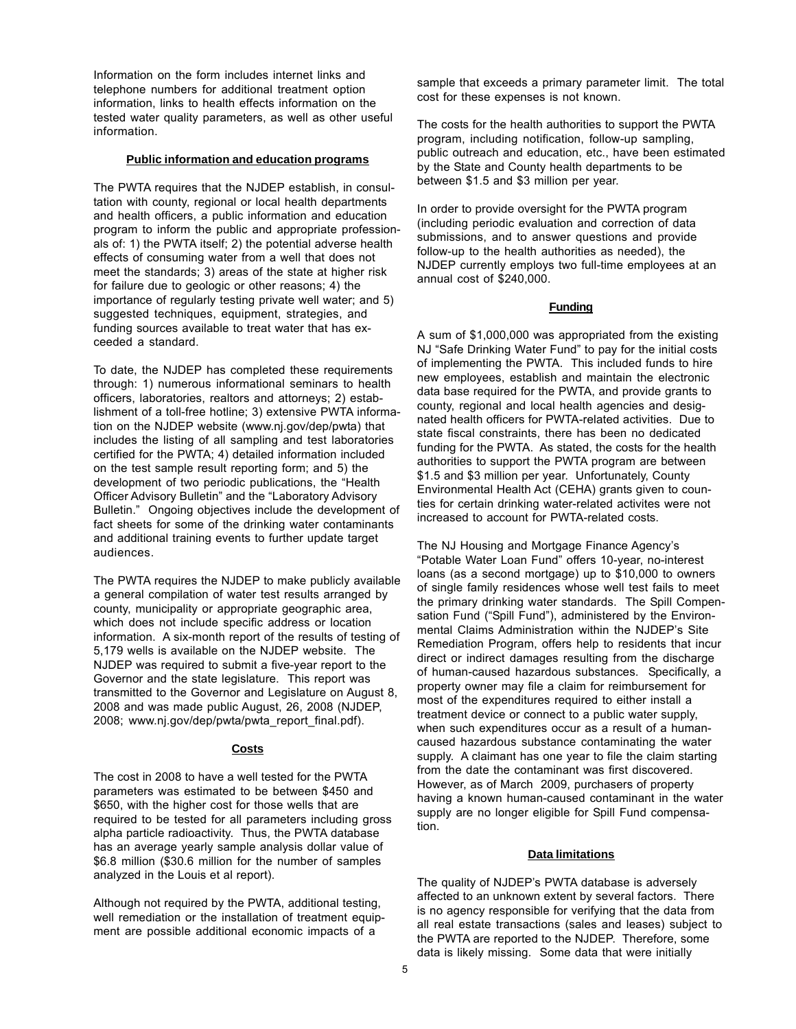Information on the form includes internet links and telephone numbers for additional treatment option information, links to health effects information on the tested water quality parameters, as well as other useful information.

## **Public information and education programs**

The PWTA requires that the NJDEP establish, in consultation with county, regional or local health departments and health officers, a public information and education program to inform the public and appropriate professionals of: 1) the PWTA itself; 2) the potential adverse health effects of consuming water from a well that does not meet the standards; 3) areas of the state at higher risk for failure due to geologic or other reasons; 4) the importance of regularly testing private well water; and 5) suggested techniques, equipment, strategies, and funding sources available to treat water that has exceeded a standard.

To date, the NJDEP has completed these requirements through: 1) numerous informational seminars to health officers, laboratories, realtors and attorneys; 2) establishment of a toll-free hotline; 3) extensive PWTA information on the NJDEP website (www.nj.gov/dep/pwta) that includes the listing of all sampling and test laboratories certified for the PWTA; 4) detailed information included on the test sample result reporting form; and 5) the development of two periodic publications, the "Health Officer Advisory Bulletin" and the "Laboratory Advisory Bulletin." Ongoing objectives include the development of fact sheets for some of the drinking water contaminants and additional training events to further update target audiences.

The PWTA requires the NJDEP to make publicly available a general compilation of water test results arranged by county, municipality or appropriate geographic area, which does not include specific address or location information. A six-month report of the results of testing of 5,179 wells is available on the NJDEP website. The NJDEP was required to submit a five-year report to the Governor and the state legislature. This report was transmitted to the Governor and Legislature on August 8, 2008 and was made public August, 26, 2008 (NJDEP, 2008; www.nj.gov/dep/pwta/pwta\_report\_final.pdf).

# **Costs**

The cost in 2008 to have a well tested for the PWTA parameters was estimated to be between \$450 and \$650, with the higher cost for those wells that are required to be tested for all parameters including gross alpha particle radioactivity. Thus, the PWTA database has an average yearly sample analysis dollar value of \$6.8 million (\$30.6 million for the number of samples analyzed in the Louis et al report).

Although not required by the PWTA, additional testing, well remediation or the installation of treatment equipment are possible additional economic impacts of a

sample that exceeds a primary parameter limit. The total cost for these expenses is not known.

The costs for the health authorities to support the PWTA program, including notification, follow-up sampling, public outreach and education, etc., have been estimated by the State and County health departments to be between \$1.5 and \$3 million per year.

In order to provide oversight for the PWTA program (including periodic evaluation and correction of data submissions, and to answer questions and provide follow-up to the health authorities as needed), the NJDEP currently employs two full-time employees at an annual cost of \$240,000.

## **Funding**

A sum of \$1,000,000 was appropriated from the existing NJ "Safe Drinking Water Fund" to pay for the initial costs of implementing the PWTA. This included funds to hire new employees, establish and maintain the electronic data base required for the PWTA, and provide grants to county, regional and local health agencies and designated health officers for PWTA-related activities. Due to state fiscal constraints, there has been no dedicated funding for the PWTA. As stated, the costs for the health authorities to support the PWTA program are between \$1.5 and \$3 million per year. Unfortunately, County Environmental Health Act (CEHA) grants given to counties for certain drinking water-related activites were not increased to account for PWTA-related costs.

The NJ Housing and Mortgage Finance Agency's "Potable Water Loan Fund" offers 10-year, no-interest loans (as a second mortgage) up to \$10,000 to owners of single family residences whose well test fails to meet the primary drinking water standards. The Spill Compensation Fund ("Spill Fund"), administered by the Environmental Claims Administration within the NJDEP's Site Remediation Program, offers help to residents that incur direct or indirect damages resulting from the discharge of human-caused hazardous substances. Specifically, a property owner may file a claim for reimbursement for most of the expenditures required to either install a treatment device or connect to a public water supply, when such expenditures occur as a result of a humancaused hazardous substance contaminating the water supply. A claimant has one year to file the claim starting from the date the contaminant was first discovered. However, as of March 2009, purchasers of property having a known human-caused contaminant in the water supply are no longer eligible for Spill Fund compensation.

### **Data limitations**

The quality of NJDEP's PWTA database is adversely affected to an unknown extent by several factors. There is no agency responsible for verifying that the data from all real estate transactions (sales and leases) subject to the PWTA are reported to the NJDEP. Therefore, some data is likely missing. Some data that were initially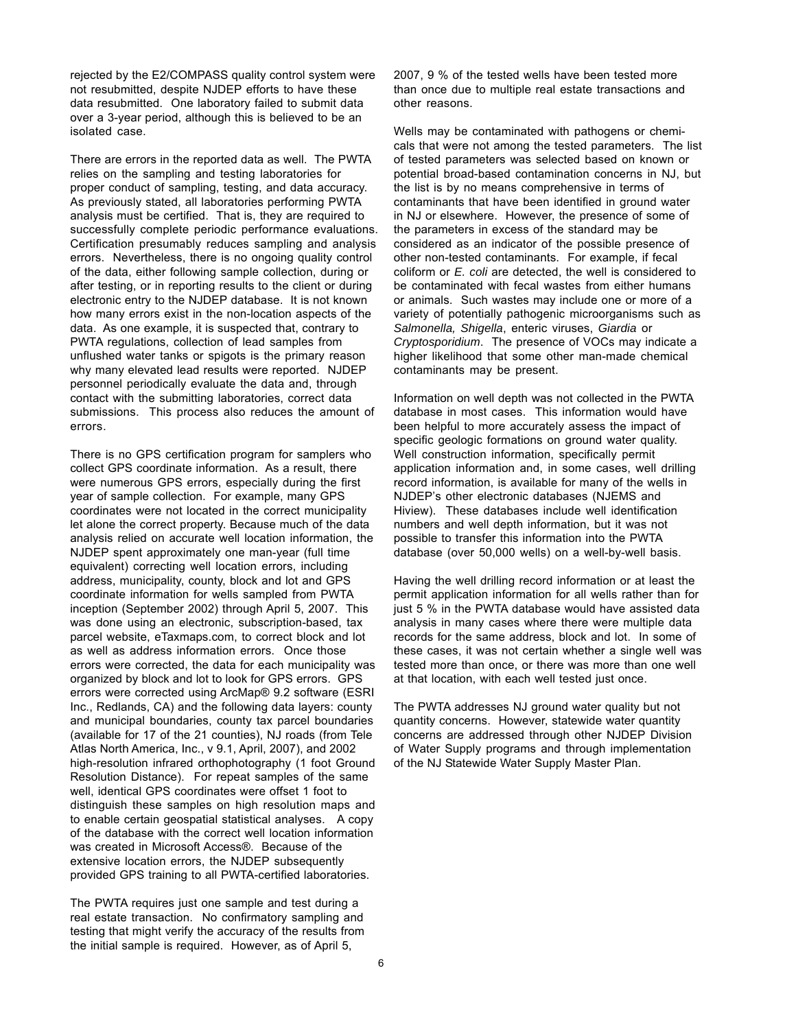rejected by the E2/COMPASS quality control system were not resubmitted, despite NJDEP efforts to have these data resubmitted. One laboratory failed to submit data over a 3-year period, although this is believed to be an isolated case.

There are errors in the reported data as well. The PWTA relies on the sampling and testing laboratories for proper conduct of sampling, testing, and data accuracy. As previously stated, all laboratories performing PWTA analysis must be certified. That is, they are required to successfully complete periodic performance evaluations. Certification presumably reduces sampling and analysis errors. Nevertheless, there is no ongoing quality control of the data, either following sample collection, during or after testing, or in reporting results to the client or during electronic entry to the NJDEP database. It is not known how many errors exist in the non-location aspects of the data. As one example, it is suspected that, contrary to PWTA regulations, collection of lead samples from unflushed water tanks or spigots is the primary reason why many elevated lead results were reported. NJDEP personnel periodically evaluate the data and, through contact with the submitting laboratories, correct data submissions. This process also reduces the amount of errors.

There is no GPS certification program for samplers who collect GPS coordinate information. As a result, there were numerous GPS errors, especially during the first year of sample collection. For example, many GPS coordinates were not located in the correct municipality let alone the correct property. Because much of the data analysis relied on accurate well location information, the NJDEP spent approximately one man-year (full time equivalent) correcting well location errors, including address, municipality, county, block and lot and GPS coordinate information for wells sampled from PWTA inception (September 2002) through April 5, 2007. This was done using an electronic, subscription-based, tax parcel website, eTaxmaps.com, to correct block and lot as well as address information errors. Once those errors were corrected, the data for each municipality was organized by block and lot to look for GPS errors. GPS errors were corrected using ArcMap® 9.2 software (ESRI Inc., Redlands, CA) and the following data layers: county and municipal boundaries, county tax parcel boundaries (available for 17 of the 21 counties), NJ roads (from Tele Atlas North America, Inc., v 9.1, April, 2007), and 2002 high-resolution infrared orthophotography (1 foot Ground Resolution Distance). For repeat samples of the same well, identical GPS coordinates were offset 1 foot to distinguish these samples on high resolution maps and to enable certain geospatial statistical analyses. A copy of the database with the correct well location information was created in Microsoft Access®. Because of the extensive location errors, the NJDEP subsequently provided GPS training to all PWTA-certified laboratories.

The PWTA requires just one sample and test during a real estate transaction. No confirmatory sampling and testing that might verify the accuracy of the results from the initial sample is required. However, as of April 5,

2007, 9 % of the tested wells have been tested more than once due to multiple real estate transactions and other reasons.

Wells may be contaminated with pathogens or chemicals that were not among the tested parameters. The list of tested parameters was selected based on known or potential broad-based contamination concerns in NJ, but the list is by no means comprehensive in terms of contaminants that have been identified in ground water in NJ or elsewhere. However, the presence of some of the parameters in excess of the standard may be considered as an indicator of the possible presence of other non-tested contaminants. For example, if fecal coliform or *E. coli* are detected, the well is considered to be contaminated with fecal wastes from either humans or animals. Such wastes may include one or more of a variety of potentially pathogenic microorganisms such as *Salmonella, Shigella*, enteric viruses, *Giardia* or *Cryptosporidium*. The presence of VOCs may indicate a higher likelihood that some other man-made chemical contaminants may be present.

Information on well depth was not collected in the PWTA database in most cases. This information would have been helpful to more accurately assess the impact of specific geologic formations on ground water quality. Well construction information, specifically permit application information and, in some cases, well drilling record information, is available for many of the wells in NJDEP's other electronic databases (NJEMS and Hiview). These databases include well identification numbers and well depth information, but it was not possible to transfer this information into the PWTA database (over 50,000 wells) on a well-by-well basis.

Having the well drilling record information or at least the permit application information for all wells rather than for just 5 % in the PWTA database would have assisted data analysis in many cases where there were multiple data records for the same address, block and lot. In some of these cases, it was not certain whether a single well was tested more than once, or there was more than one well at that location, with each well tested just once.

The PWTA addresses NJ ground water quality but not quantity concerns. However, statewide water quantity concerns are addressed through other NJDEP Division of Water Supply programs and through implementation of the NJ Statewide Water Supply Master Plan.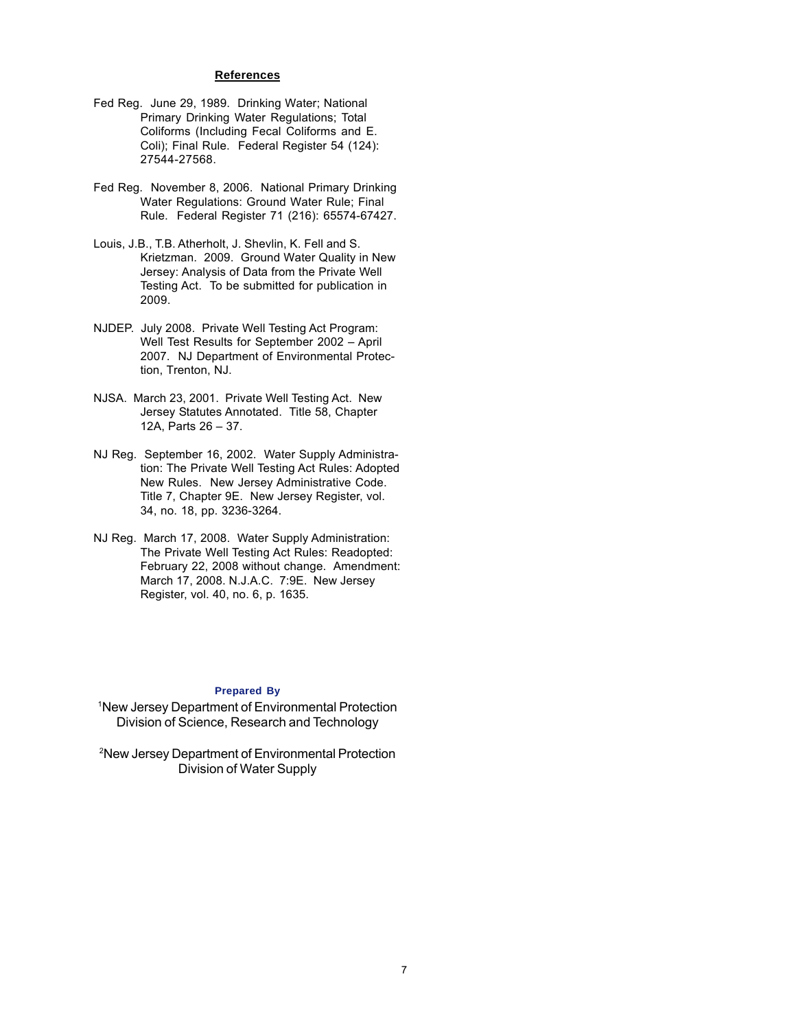## **References**

- Fed Reg. June 29, 1989. Drinking Water; National Primary Drinking Water Regulations; Total Coliforms (Including Fecal Coliforms and E. Coli); Final Rule. Federal Register 54 (124): 27544-27568.
- Fed Reg. November 8, 2006. National Primary Drinking Water Regulations: Ground Water Rule; Final Rule. Federal Register 71 (216): 65574-67427.
- Louis, J.B., T.B. Atherholt, J. Shevlin, K. Fell and S. Krietzman. 2009. Ground Water Quality in New Jersey: Analysis of Data from the Private Well Testing Act. To be submitted for publication in 2009.
- NJDEP. July 2008. Private Well Testing Act Program: Well Test Results for September 2002 – April 2007. NJ Department of Environmental Protection, Trenton, NJ.
- NJSA. March 23, 2001. Private Well Testing Act. New Jersey Statutes Annotated. Title 58, Chapter 12A, Parts 26 – 37.
- NJ Reg. September 16, 2002. Water Supply Administration: The Private Well Testing Act Rules: Adopted New Rules. New Jersey Administrative Code. Title 7, Chapter 9E. New Jersey Register, vol. 34, no. 18, pp. 3236-3264.
- NJ Reg. March 17, 2008. Water Supply Administration: The Private Well Testing Act Rules: Readopted: February 22, 2008 without change. Amendment: March 17, 2008. N.J.A.C. 7:9E. New Jersey Register, vol. 40, no. 6, p. 1635.

### **Prepared By**

1 New Jersey Department of Environmental Protection Division of Science, Research and Technology

2 New Jersey Department of Environmental Protection Division of Water Supply